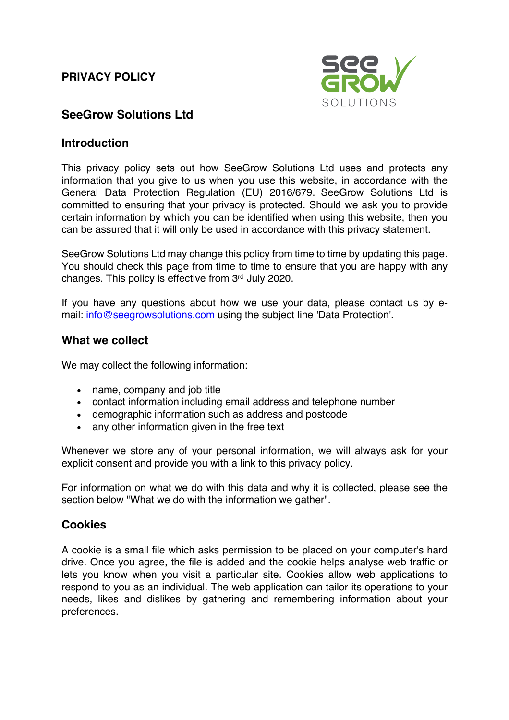### **PRIVACY POLICY**



## **SeeGrow Solutions Ltd**

#### **Introduction**

This privacy policy sets out how SeeGrow Solutions Ltd uses and protects any information that you give to us when you use this website, in accordance with the General Data Protection Regulation (EU) 2016/679. SeeGrow Solutions Ltd is committed to ensuring that your privacy is protected. Should we ask you to provide certain information by which you can be identified when using this website, then you can be assured that it will only be used in accordance with this privacy statement.

SeeGrow Solutions Ltd may change this policy from time to time by updating this page. You should check this page from time to time to ensure that you are happy with any changes. This policy is effective from 3rd July 2020.

If you have any questions about how we use your data, please contact us by email: info@seegrowsolutions.com using the subject line 'Data Protection'.

#### **What we collect**

We may collect the following information:

- name, company and job title
- contact information including email address and telephone number
- demographic information such as address and postcode
- any other information given in the free text

Whenever we store any of your personal information, we will always ask for your explicit consent and provide you with a link to this privacy policy.

For information on what we do with this data and why it is collected, please see the section below "What we do with the information we gather".

### **Cookies**

A cookie is a small file which asks permission to be placed on your computer's hard drive. Once you agree, the file is added and the cookie helps analyse web traffic or lets you know when you visit a particular site. Cookies allow web applications to respond to you as an individual. The web application can tailor its operations to your needs, likes and dislikes by gathering and remembering information about your preferences.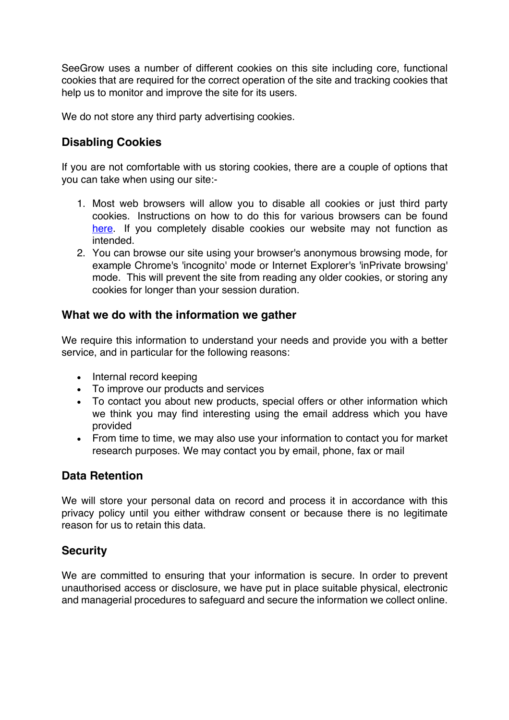SeeGrow uses a number of different cookies on this site including core, functional cookies that are required for the correct operation of the site and tracking cookies that help us to monitor and improve the site for its users.

We do not store any third party advertising cookies.

# **Disabling Cookies**

If you are not comfortable with us storing cookies, there are a couple of options that you can take when using our site:-

- 1. Most web browsers will allow you to disable all cookies or just third party cookies. Instructions on how to do this for various browsers can be found here. If you completely disable cookies our website may not function as intended.
- 2. You can browse our site using your browser's anonymous browsing mode, for example Chrome's 'incognito' mode or Internet Explorer's 'inPrivate browsing' mode. This will prevent the site from reading any older cookies, or storing any cookies for longer than your session duration.

### **What we do with the information we gather**

We require this information to understand your needs and provide you with a better service, and in particular for the following reasons:

- Internal record keeping
- To improve our products and services
- To contact you about new products, special offers or other information which we think you may find interesting using the email address which you have provided
- From time to time, we may also use your information to contact you for market research purposes. We may contact you by email, phone, fax or mail

### **Data Retention**

We will store your personal data on record and process it in accordance with this privacy policy until you either withdraw consent or because there is no legitimate reason for us to retain this data.

### **Security**

We are committed to ensuring that your information is secure. In order to prevent unauthorised access or disclosure, we have put in place suitable physical, electronic and managerial procedures to safeguard and secure the information we collect online.